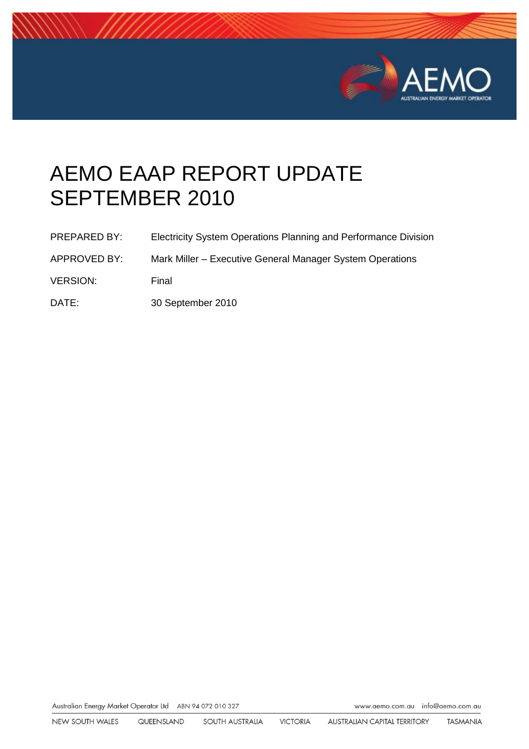

# AEMO EAAP REPORT UPDATE SEPTEMBER 2010

| <b>PREPARED BY:</b> | Electricity System Operations Planning and Performance Division |
|---------------------|-----------------------------------------------------------------|
| APPROVED BY:        | Mark Miller – Executive General Manager System Operations       |

- VERSION: Final
- DATE: 30 September 2010

Australian Energy Market Operator Ltd ABN 94 072 010 327

www.aemo.com.au info@aemo.com.au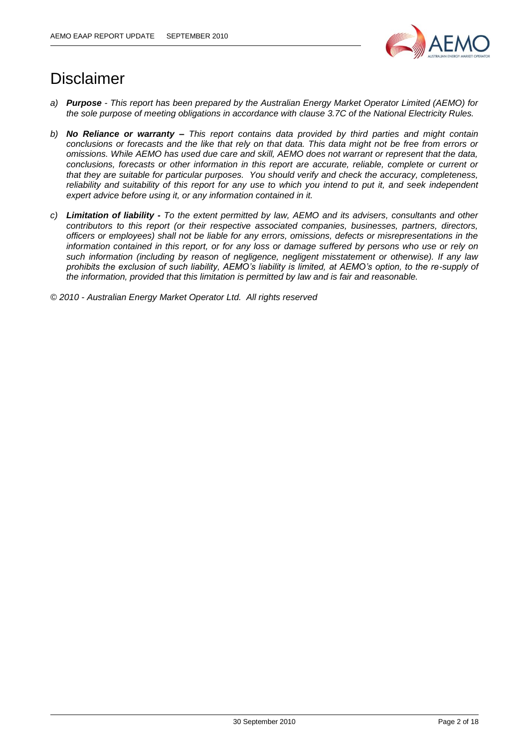

# Disclaimer

- *a) Purpose - This report has been prepared by the Australian Energy Market Operator Limited (AEMO) for the sole purpose of meeting obligations in accordance with clause 3.7C of the National Electricity Rules.*
- *b) No Reliance or warranty – This report contains data provided by third parties and might contain conclusions or forecasts and the like that rely on that data. This data might not be free from errors or omissions. While AEMO has used due care and skill, AEMO does not warrant or represent that the data, conclusions, forecasts or other information in this report are accurate, reliable, complete or current or that they are suitable for particular purposes. You should verify and check the accuracy, completeness, reliability and suitability of this report for any use to which you intend to put it, and seek independent expert advice before using it, or any information contained in it.*
- *c) Limitation of liability - To the extent permitted by law, AEMO and its advisers, consultants and other contributors to this report (or their respective associated companies, businesses, partners, directors, officers or employees) shall not be liable for any errors, omissions, defects or misrepresentations in the information contained in this report, or for any loss or damage suffered by persons who use or rely on such information (including by reason of negligence, negligent misstatement or otherwise). If any law prohibits the exclusion of such liability, AEMO's liability is limited, at AEMO's option, to the re-supply of the information, provided that this limitation is permitted by law and is fair and reasonable.*

*© 2010 - Australian Energy Market Operator Ltd. All rights reserved*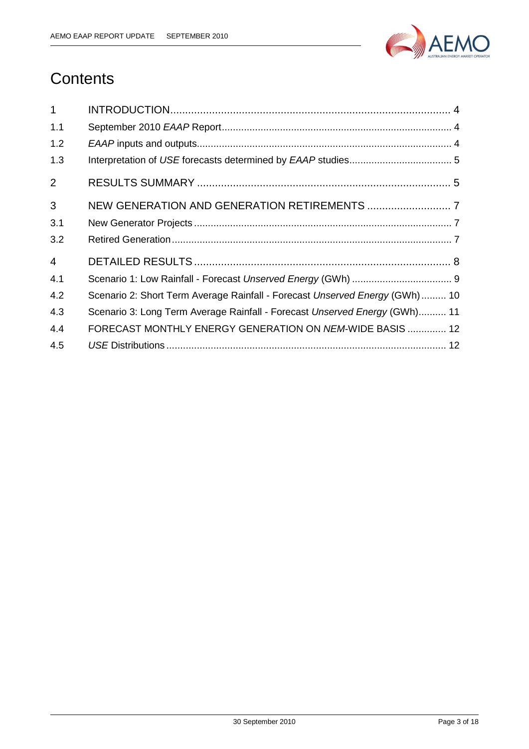

# **Contents**

| $\mathbf{1}$   |                                                                              |
|----------------|------------------------------------------------------------------------------|
| 1.1            |                                                                              |
| 1.2            |                                                                              |
| 1.3            |                                                                              |
| 2              |                                                                              |
| 3              |                                                                              |
| 3.1            |                                                                              |
| 3.2            |                                                                              |
| $\overline{4}$ |                                                                              |
| 4.1            |                                                                              |
| 4.2            | Scenario 2: Short Term Average Rainfall - Forecast Unserved Energy (GWh)  10 |
| 4.3            | Scenario 3: Long Term Average Rainfall - Forecast Unserved Energy (GWh) 11   |
| 4.4            | FORECAST MONTHLY ENERGY GENERATION ON NEM-WIDE BASIS  12                     |
| 4.5            |                                                                              |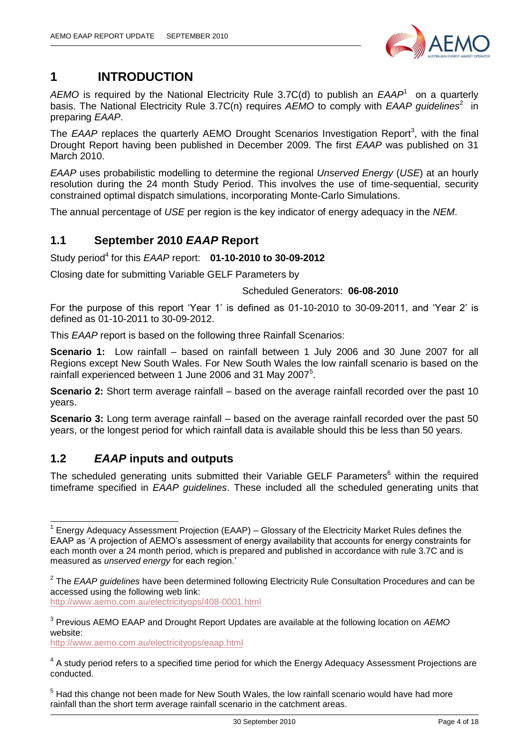

# <span id="page-3-0"></span>**1 INTRODUCTION**

AEMO is required by the National Electricity Rule 3.7C(d) to publish an *EAAP*<sup>1</sup> on a quarterly basis. The National Electricity Rule 3.7C(n) requires AEMO to comply with EAAP guidelines<sup>2</sup> in preparing *EAAP*.

The EAAP replaces the quarterly AEMO Drought Scenarios Investigation Report<sup>3</sup>, with the final Drought Report having been published in December 2009. The first *EAAP* was published on 31 March 2010.

*EAAP* uses probabilistic modelling to determine the regional *Unserved Energy* (*USE*) at an hourly resolution during the 24 month Study Period. This involves the use of time-sequential, security constrained optimal dispatch simulations, incorporating Monte-Carlo Simulations.

The annual percentage of *USE* per region is the key indicator of energy adequacy in the *NEM*.

### <span id="page-3-1"></span>**1.1 September 2010** *EAAP* **Report**

Study period<sup>4</sup> for this *EAAP* report: **01-10-2010 to 30-09-2012** 

Closing date for submitting Variable GELF Parameters by

#### Scheduled Generators: **06-08-2010**

For the purpose of this report "Year 1" is defined as 01-10-2010 to 30-09-2011, and "Year 2" is defined as 01-10-2011 to 30-09-2012.

This *EAAP* report is based on the following three Rainfall Scenarios:

**Scenario 1:** Low rainfall – based on rainfall between 1 July 2006 and 30 June 2007 for all Regions except New South Wales. For New South Wales the low rainfall scenario is based on the rainfall experienced between 1 June 2006 and 31 May 2007<sup>5</sup>.

**Scenario 2:** Short term average rainfall – based on the average rainfall recorded over the past 10 years.

**Scenario 3:** Long term average rainfall – based on the average rainfall recorded over the past 50 years, or the longest period for which rainfall data is available should this be less than 50 years.

## <span id="page-3-2"></span>**1.2** *EAAP* **inputs and outputs**

 $\overline{\phantom{a}}$ 

The scheduled generating units submitted their Variable GELF Parameters<sup>6</sup> within the required timeframe specified in *EAAP guidelines*. These included all the scheduled generating units that

<http://www.aemo.com.au/electricityops/408-0001.html>

<http://www.aemo.com.au/electricityops/eaap.html>

<sup>&</sup>lt;sup>1</sup> Energy Adequacy Assessment Projection (EAAP) – Glossary of the Electricity Market Rules defines the EAAP as "A projection of AEMO"s assessment of energy availability that accounts for energy constraints for each month over a 24 month period, which is prepared and published in accordance with rule 3.7C and is measured as *unserved energy* for each region."

<sup>2</sup> The *EAAP guidelines* have been determined following Electricity Rule Consultation Procedures and can be accessed using the following web link:

<sup>3</sup> Previous AEMO EAAP and Drought Report Updates are available at the following location on *AEMO* website:

 $4$  A study period refers to a specified time period for which the Energy Adequacy Assessment Projections are conducted.

 $<sup>5</sup>$  Had this change not been made for New South Wales, the low rainfall scenario would have had more</sup> rainfall than the short term average rainfall scenario in the catchment areas.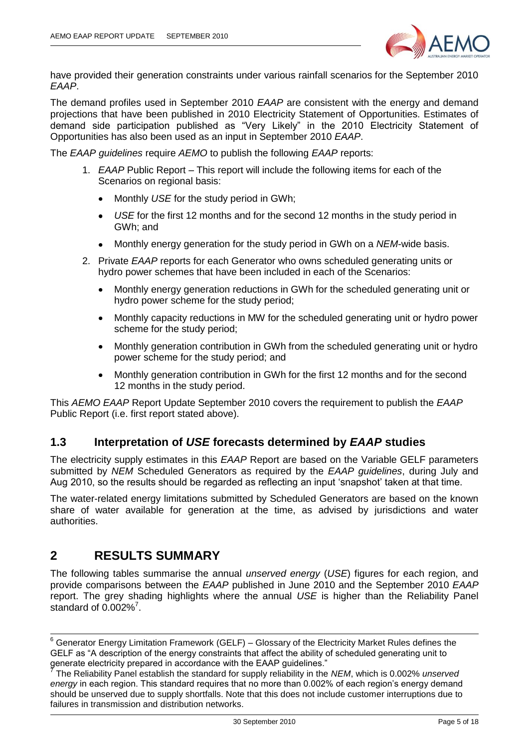

have provided their generation constraints under various rainfall scenarios for the September 2010 *EAAP*.

The demand profiles used in September 2010 *EAAP* are consistent with the energy and demand projections that have been published in 2010 Electricity Statement of Opportunities. Estimates of demand side participation published as "Very Likely" in the 2010 Electricity Statement of Opportunities has also been used as an input in September 2010 *EAAP*.

The *EAAP guidelines* require *AEMO* to publish the following *EAAP* reports:

- 1. *EAAP* Public Report This report will include the following items for each of the Scenarios on regional basis:
	- Monthly *USE* for the study period in GWh;
	- *USE* for the first 12 months and for the second 12 months in the study period in  $\bullet$ GWh; and
	- Monthly energy generation for the study period in GWh on a *NEM*-wide basis.  $\bullet$
- 2. Private *EAAP* reports for each Generator who owns scheduled generating units or hydro power schemes that have been included in each of the Scenarios:
	- Monthly energy generation reductions in GWh for the scheduled generating unit or hydro power scheme for the study period;
	- Monthly capacity reductions in MW for the scheduled generating unit or hydro power  $\bullet$ scheme for the study period;
	- Monthly generation contribution in GWh from the scheduled generating unit or hydro power scheme for the study period; and
	- Monthly generation contribution in GWh for the first 12 months and for the second 12 months in the study period.

This *AEMO EAAP* Report Update September 2010 covers the requirement to publish the *EAAP* Public Report (i.e. first report stated above).

### <span id="page-4-0"></span>**1.3 Interpretation of** *USE* **forecasts determined by** *EAAP* **studies**

The electricity supply estimates in this *EAAP* Report are based on the Variable GELF parameters submitted by *NEM* Scheduled Generators as required by the *EAAP guidelines*, during July and Aug 2010, so the results should be regarded as reflecting an input "snapshot" taken at that time.

The water-related energy limitations submitted by Scheduled Generators are based on the known share of water available for generation at the time, as advised by jurisdictions and water authorities.

## <span id="page-4-1"></span>**2 RESULTS SUMMARY**

-

The following tables summarise the annual *unserved energy* (*USE*) figures for each region, and provide comparisons between the *EAAP* published in June 2010 and the September 2010 *EAAP* report. The grey shading highlights where the annual *USE* is higher than the Reliability Panel standard of  $0.002\%$ <sup>7</sup>.

 $6$  Generator Energy Limitation Framework (GELF) – Glossary of the Electricity Market Rules defines the GELF as "A description of the energy constraints that affect the ability of scheduled generating unit to generate electricity prepared in accordance with the EAAP guidelines."

<sup>7</sup> The Reliability Panel establish the standard for supply reliability in the *NEM*, which is 0.002% *unserved energy* in each region. This standard requires that no more than 0.002% of each region"s energy demand should be unserved due to supply shortfalls. Note that this does not include customer interruptions due to failures in transmission and distribution networks.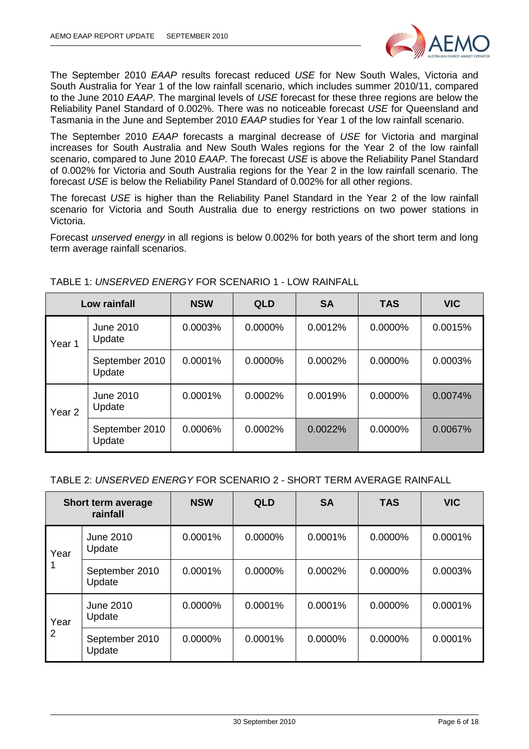

The September 2010 *EAAP* results forecast reduced *USE* for New South Wales, Victoria and South Australia for Year 1 of the low rainfall scenario, which includes summer 2010/11, compared to the June 2010 *EAAP*. The marginal levels of *USE* forecast for these three regions are below the Reliability Panel Standard of 0.002%. There was no noticeable forecast *USE* for Queensland and Tasmania in the June and September 2010 *EAAP* studies for Year 1 of the low rainfall scenario.

The September 2010 *EAAP* forecasts a marginal decrease of *USE* for Victoria and marginal increases for South Australia and New South Wales regions for the Year 2 of the low rainfall scenario, compared to June 2010 *EAAP*. The forecast *USE* is above the Reliability Panel Standard of 0.002% for Victoria and South Australia regions for the Year 2 in the low rainfall scenario. The forecast *USE* is below the Reliability Panel Standard of 0.002% for all other regions.

The forecast *USE* is higher than the Reliability Panel Standard in the Year 2 of the low rainfall scenario for Victoria and South Australia due to energy restrictions on two power stations in Victoria.

Forecast *unserved energy* in all regions is below 0.002% for both years of the short term and long term average rainfall scenarios.

|                   | Low rainfall               | <b>NSW</b> | <b>QLD</b> | <b>SA</b> | <b>TAS</b> | <b>VIC</b> |
|-------------------|----------------------------|------------|------------|-----------|------------|------------|
| Year 1            | <b>June 2010</b><br>Update | 0.0003%    | 0.0000%    | 0.0012%   | 0.0000%    | 0.0015%    |
|                   | September 2010<br>Update   | 0.0001%    | 0.0000%    | 0.0002%   | 0.0000%    | 0.0003%    |
| Year <sub>2</sub> | June 2010<br>Update        | 0.0001%    | 0.0002%    | 0.0019%   | 0.0000%    | 0.0074%    |
|                   | September 2010<br>Update   | 0.0006%    | 0.0002%    | 0.0022%   | 0.0000%    | 0.0067%    |

TABLE 1: *UNSERVED ENERGY* FOR SCENARIO 1 - LOW RAINFALL

#### TABLE 2: *UNSERVED ENERGY* FOR SCENARIO 2 - SHORT TERM AVERAGE RAINFALL

|      | Short term average<br>rainfall | <b>NSW</b> | <b>QLD</b> | <b>SA</b> | <b>TAS</b> | <b>VIC</b> |
|------|--------------------------------|------------|------------|-----------|------------|------------|
| Year | June 2010<br>Update            | 0.0001%    | 0.0000%    | 0.0001%   | 0.0000%    | 0.0001%    |
|      | September 2010<br>Update       | 0.0001%    | 0.0000%    | 0.0002%   | $0.0000\%$ | 0.0003%    |
| Year | June 2010<br>Update            | $0.0000\%$ | 0.0001%    | 0.0001%   | $0.0000\%$ | 0.0001%    |
| 2    | September 2010<br>Update       | 0.0000%    | 0.0001%    | 0.0000%   | 0.0000%    | 0.0001%    |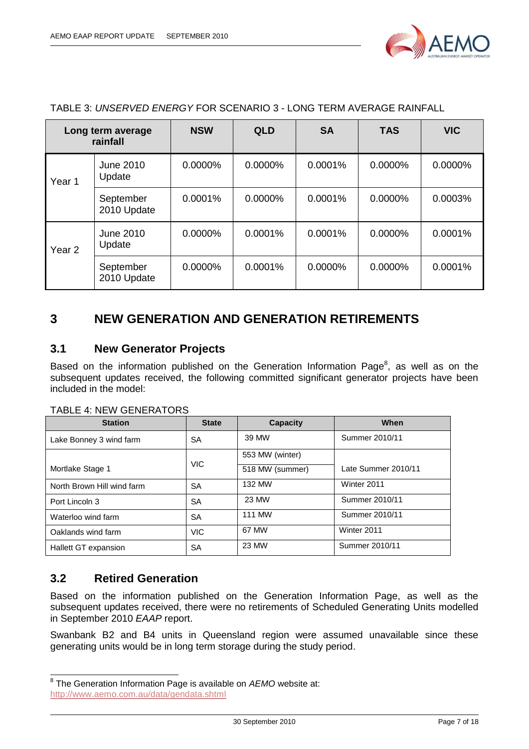

|                   | Long term average<br>rainfall | <b>NSW</b> | <b>QLD</b> | <b>SA</b>  | <b>TAS</b> | <b>VIC</b> |
|-------------------|-------------------------------|------------|------------|------------|------------|------------|
| Year 1            | <b>June 2010</b><br>Update    | $0.0000\%$ | 0.0000%    | 0.0001%    | $0.0000\%$ | 0.0000%    |
|                   | September<br>2010 Update      | 0.0001%    | 0.0000%    | 0.0001%    | $0.0000\%$ | 0.0003%    |
| Year <sub>2</sub> | <b>June 2010</b><br>Update    | 0.0000%    | 0.0001%    | 0.0001%    | 0.0000%    | 0.0001%    |
|                   | September<br>2010 Update      | $0.0000\%$ | 0.0001%    | $0.0000\%$ | $0.0000\%$ | 0.0001%    |

#### TABLE 3: *UNSERVED ENERGY* FOR SCENARIO 3 - LONG TERM AVERAGE RAINFALL

# <span id="page-6-0"></span>**3 NEW GENERATION AND GENERATION RETIREMENTS**

### <span id="page-6-1"></span>**3.1 New Generator Projects**

Based on the information published on the Generation Information Page<sup>8</sup>, as well as on the subsequent updates received, the following committed significant generator projects have been included in the model:

| <b>Station</b>             | <b>State</b> | <b>Capacity</b> | When                |
|----------------------------|--------------|-----------------|---------------------|
| Lake Bonney 3 wind farm    | SA           | 39 MW           | Summer 2010/11      |
|                            |              | 553 MW (winter) |                     |
| Mortlake Stage 1           | <b>VIC</b>   | 518 MW (summer) | Late Summer 2010/11 |
| North Brown Hill wind farm | SA           | 132 MW          | Winter 2011         |
| Port Lincoln 3             | SA           | 23 MW           | Summer 2010/11      |
| Waterloo wind farm         | SА           | <b>111 MW</b>   | Summer 2010/11      |
| Oaklands wind farm         | <b>VIC</b>   | 67 MW           | Winter 2011         |
| Hallett GT expansion       | SA           | 23 MW           | Summer 2010/11      |

#### TABLE 4: NEW GENERATORS

#### <span id="page-6-2"></span>**3.2 Retired Generation**

Based on the information published on the Generation Information Page, as well as the subsequent updates received, there were no retirements of Scheduled Generating Units modelled in September 2010 *EAAP* report.

Swanbank B2 and B4 units in Queensland region were assumed unavailable since these generating units would be in long term storage during the study period.

 8 The Generation Information Page is available on *AEMO* website at: <http://www.aemo.com.au/data/gendata.shtml>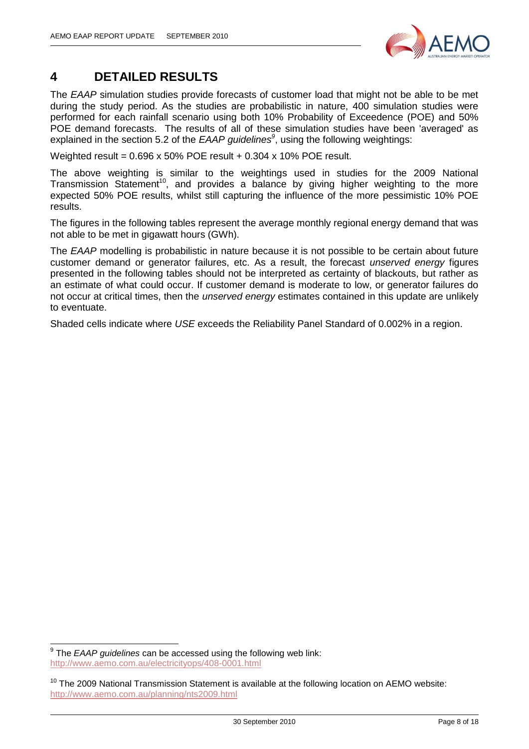

# <span id="page-7-0"></span>**4 DETAILED RESULTS**

The *EAAP* simulation studies provide forecasts of customer load that might not be able to be met during the study period. As the studies are probabilistic in nature, 400 simulation studies were performed for each rainfall scenario using both 10% Probability of Exceedence (POE) and 50% POE demand forecasts. The results of all of these simulation studies have been 'averaged' as explained in the section 5.2 of the *EAAP guidelines<sup>9</sup>* , using the following weightings:

Weighted result =  $0.696 \times 50\%$  POE result +  $0.304 \times 10\%$  POE result.

The above weighting is similar to the weightings used in studies for the 2009 National Transmission Statement<sup>10</sup>, and provides a balance by giving higher weighting to the more expected 50% POE results, whilst still capturing the influence of the more pessimistic 10% POE results.

The figures in the following tables represent the average monthly regional energy demand that was not able to be met in gigawatt hours (GWh).

The *EAAP* modelling is probabilistic in nature because it is not possible to be certain about future customer demand or generator failures, etc. As a result, the forecast *unserved energy* figures presented in the following tables should not be interpreted as certainty of blackouts, but rather as an estimate of what could occur. If customer demand is moderate to low, or generator failures do not occur at critical times, then the *unserved energy* estimates contained in this update are unlikely to eventuate.

Shaded cells indicate where *USE* exceeds the Reliability Panel Standard of 0.002% in a region.

 9 The *EAAP guidelines* can be accessed using the following web link: <http://www.aemo.com.au/electricityops/408-0001.html>

<sup>&</sup>lt;sup>10</sup> The 2009 National Transmission Statement is available at the following location on AEMO website: <http://www.aemo.com.au/planning/nts2009.html>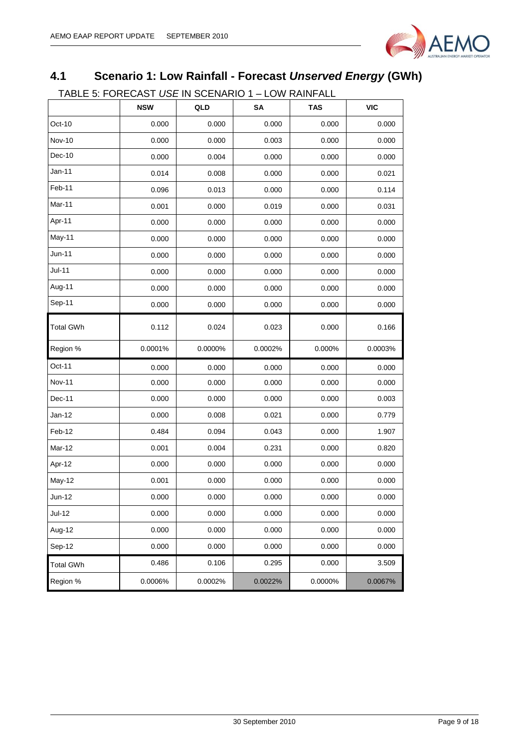

# <span id="page-8-0"></span>**4.1 Scenario 1: Low Rainfall - Forecast** *Unserved Energy* **(GWh)**

TABLE 5: FORECAST *USE* IN SCENARIO 1 – LOW RAINFALL

|                  | <b>NSW</b> | QLD     | SΑ      | <b>TAS</b> | <b>VIC</b> |
|------------------|------------|---------|---------|------------|------------|
| Oct-10           | 0.000      | 0.000   | 0.000   | 0.000      | 0.000      |
| Nov-10           | 0.000      | 0.000   | 0.003   | 0.000      | 0.000      |
| Dec-10           | 0.000      | 0.004   | 0.000   | 0.000      | 0.000      |
| Jan-11           | 0.014      | 0.008   | 0.000   | 0.000      | 0.021      |
| Feb-11           | 0.096      | 0.013   | 0.000   | 0.000      | 0.114      |
| Mar-11           | 0.001      | 0.000   | 0.019   | 0.000      | 0.031      |
| Apr-11           | 0.000      | 0.000   | 0.000   | 0.000      | 0.000      |
| May-11           | 0.000      | 0.000   | 0.000   | 0.000      | 0.000      |
| Jun-11           | 0.000      | 0.000   | 0.000   | 0.000      | 0.000      |
| $Jul-11$         | 0.000      | 0.000   | 0.000   | 0.000      | 0.000      |
| Aug-11           | 0.000      | 0.000   | 0.000   | 0.000      | 0.000      |
| Sep-11           | 0.000      | 0.000   | 0.000   | 0.000      | 0.000      |
| <b>Total GWh</b> | 0.112      | 0.024   | 0.023   | 0.000      | 0.166      |
| Region %         | 0.0001%    | 0.0000% | 0.0002% | 0.000%     | 0.0003%    |
| Oct-11           | 0.000      | 0.000   | 0.000   | 0.000      | 0.000      |
| Nov-11           | 0.000      | 0.000   | 0.000   | 0.000      | 0.000      |
| Dec-11           | 0.000      | 0.000   | 0.000   | 0.000      | 0.003      |
| Jan-12           | 0.000      | 0.008   | 0.021   | 0.000      | 0.779      |
| Feb-12           | 0.484      | 0.094   | 0.043   | 0.000      | 1.907      |
| Mar-12           | 0.001      | 0.004   | 0.231   | 0.000      | 0.820      |
| Apr-12           | 0.000      | 0.000   | 0.000   | 0.000      | 0.000      |
| May-12           | 0.001      | 0.000   | 0.000   | 0.000      | 0.000      |
| Jun-12           | 0.000      | 0.000   | 0.000   | 0.000      | 0.000      |
| Jul-12           | 0.000      | 0.000   | 0.000   | 0.000      | 0.000      |
| Aug-12           | 0.000      | 0.000   | 0.000   | 0.000      | 0.000      |
| Sep-12           | 0.000      | 0.000   | 0.000   | 0.000      | 0.000      |
| <b>Total GWh</b> | 0.486      | 0.106   | 0.295   | 0.000      | 3.509      |
| Region %         | 0.0006%    | 0.0002% | 0.0022% | 0.0000%    | 0.0067%    |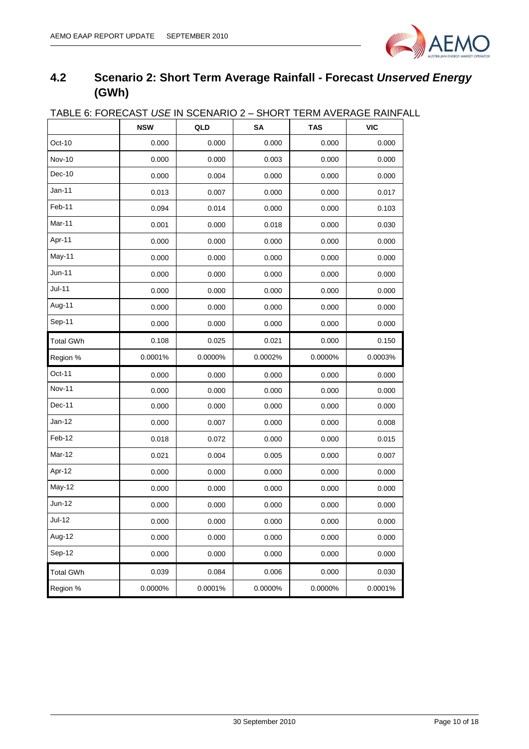

# <span id="page-9-0"></span>**4.2 Scenario 2: Short Term Average Rainfall - Forecast** *Unserved Energy* **(GWh)**

|                  | <b>NSW</b> | QLD     | יישו<br>SA | <b>TAS</b> | <b>VIC</b> |
|------------------|------------|---------|------------|------------|------------|
| Oct-10           | 0.000      | 0.000   | 0.000      | 0.000      | 0.000      |
| <b>Nov-10</b>    | 0.000      | 0.000   | 0.003      | 0.000      | 0.000      |
| Dec-10           | 0.000      | 0.004   | 0.000      | 0.000      | 0.000      |
| $Jan-11$         | 0.013      | 0.007   | 0.000      | 0.000      | 0.017      |
| Feb-11           | 0.094      | 0.014   | 0.000      | 0.000      | 0.103      |
| Mar-11           | 0.001      | 0.000   | 0.018      | 0.000      | 0.030      |
| Apr-11           | 0.000      | 0.000   | 0.000      | 0.000      | 0.000      |
| May-11           | 0.000      | 0.000   | 0.000      | 0.000      | 0.000      |
| Jun-11           | 0.000      | 0.000   | 0.000      | 0.000      | 0.000      |
| $Jul-11$         | 0.000      | 0.000   | 0.000      | 0.000      | 0.000      |
| Aug-11           | 0.000      | 0.000   | 0.000      | 0.000      | 0.000      |
| Sep-11           | 0.000      | 0.000   | 0.000      | 0.000      | 0.000      |
| <b>Total GWh</b> | 0.108      | 0.025   | 0.021      | 0.000      | 0.150      |
| Region %         | 0.0001%    | 0.0000% | 0.0002%    | 0.0000%    | 0.0003%    |
| Oct-11           | 0.000      | 0.000   | 0.000      | 0.000      | 0.000      |
| <b>Nov-11</b>    | 0.000      | 0.000   | 0.000      | 0.000      | 0.000      |
| Dec-11           | 0.000      | 0.000   | 0.000      | 0.000      | 0.000      |
| Jan-12           | 0.000      | 0.007   | 0.000      | 0.000      | 0.008      |
| Feb-12           | 0.018      | 0.072   | 0.000      | 0.000      | 0.015      |
| Mar-12           | 0.021      | 0.004   | 0.005      | 0.000      | 0.007      |
| Apr-12           | 0.000      | 0.000   | 0.000      | 0.000      | 0.000      |
| May-12           | 0.000      | 0.000   | 0.000      | 0.000      | 0.000      |
| Jun-12           | 0.000      | 0.000   | 0.000      | 0.000      | 0.000      |
| Jul-12           | 0.000      | 0.000   | 0.000      | 0.000      | 0.000      |
| Aug-12           | 0.000      | 0.000   | 0.000      | 0.000      | 0.000      |
| Sep-12           | 0.000      | 0.000   | 0.000      | 0.000      | 0.000      |
| <b>Total GWh</b> | 0.039      | 0.084   | 0.006      | 0.000      | 0.030      |
| Region %         | 0.0000%    | 0.0001% | 0.0000%    | 0.0000%    | 0.0001%    |

## TABLE 6: FORECAST *USE* IN SCENARIO 2 – SHORT TERM AVERAGE RAINFALL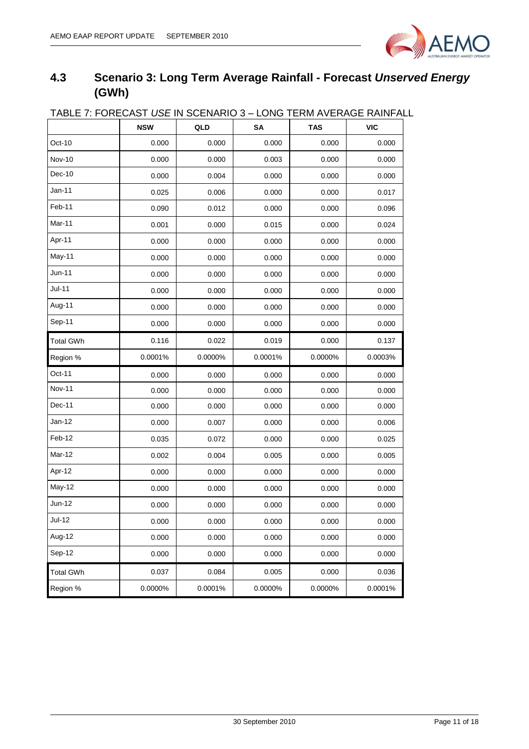

# <span id="page-10-0"></span>**4.3 Scenario 3: Long Term Average Rainfall - Forecast** *Unserved Energy* **(GWh)**

|                  | <u>IADLE 7. FUNEUAST USE IN SULNANIU 3 – LUNG TENII AVENAGE NAINFAL</u> |         |         |            |            |
|------------------|-------------------------------------------------------------------------|---------|---------|------------|------------|
|                  | <b>NSW</b>                                                              | QLD     | SΑ      | <b>TAS</b> | <b>VIC</b> |
| Oct-10           | 0.000                                                                   | 0.000   | 0.000   | 0.000      | 0.000      |
| <b>Nov-10</b>    | 0.000                                                                   | 0.000   | 0.003   | 0.000      | 0.000      |
| Dec-10           | 0.000                                                                   | 0.004   | 0.000   | 0.000      | 0.000      |
| Jan-11           | 0.025                                                                   | 0.006   | 0.000   | 0.000      | 0.017      |
| Feb-11           | 0.090                                                                   | 0.012   | 0.000   | 0.000      | 0.096      |
| Mar-11           | 0.001                                                                   | 0.000   | 0.015   | 0.000      | 0.024      |
| Apr-11           | 0.000                                                                   | 0.000   | 0.000   | 0.000      | 0.000      |
| May-11           | 0.000                                                                   | 0.000   | 0.000   | 0.000      | 0.000      |
| Jun-11           | 0.000                                                                   | 0.000   | 0.000   | 0.000      | 0.000      |
| Jul-11           | 0.000                                                                   | 0.000   | 0.000   | 0.000      | 0.000      |
| Aug-11           | 0.000                                                                   | 0.000   | 0.000   | 0.000      | 0.000      |
| Sep-11           | 0.000                                                                   | 0.000   | 0.000   | 0.000      | 0.000      |
| <b>Total GWh</b> | 0.116                                                                   | 0.022   | 0.019   | 0.000      | 0.137      |
| Region %         | 0.0001%                                                                 | 0.0000% | 0.0001% | 0.0000%    | 0.0003%    |
| Oct-11           | 0.000                                                                   | 0.000   | 0.000   | 0.000      | 0.000      |
| <b>Nov-11</b>    | 0.000                                                                   | 0.000   | 0.000   | 0.000      | 0.000      |
| Dec-11           | 0.000                                                                   | 0.000   | 0.000   | 0.000      | 0.000      |
| Jan-12           | 0.000                                                                   | 0.007   | 0.000   | 0.000      | 0.006      |
| Feb-12           | 0.035                                                                   | 0.072   | 0.000   | 0.000      | 0.025      |
| Mar-12           | 0.002                                                                   | 0.004   | 0.005   | 0.000      | 0.005      |
| Apr-12           | 0.000                                                                   | 0.000   | 0.000   | 0.000      | 0.000      |
| May-12           | 0.000                                                                   | 0.000   | 0.000   | 0.000      | 0.000      |
| <b>Jun-12</b>    | 0.000                                                                   | 0.000   | 0.000   | 0.000      | 0.000      |
| $Jul-12$         | 0.000                                                                   | 0.000   | 0.000   | 0.000      | 0.000      |
| Aug-12           | 0.000                                                                   | 0.000   | 0.000   | 0.000      | 0.000      |
| Sep-12           | 0.000                                                                   | 0.000   | 0.000   | 0.000      | 0.000      |
| <b>Total GWh</b> | 0.037                                                                   | 0.084   | 0.005   | 0.000      | 0.036      |
| Region %         | 0.0000%                                                                 | 0.0001% | 0.0000% | 0.0000%    | 0.0001%    |

### TABLE 7: FORECAST *USE* IN SCENARIO 3 – LONG TERM AVERAGE RAINFALL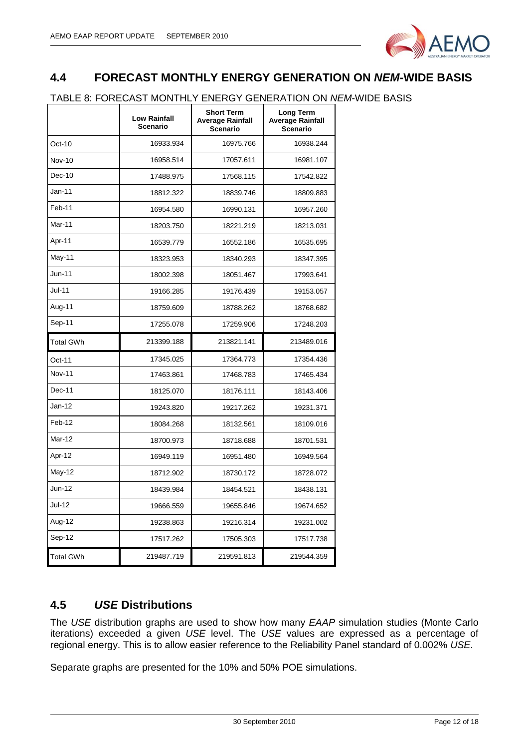

## <span id="page-11-0"></span>**4.4 FORECAST MONTHLY ENERGY GENERATION ON** *NEM***-WIDE BASIS**

#### TABLE 8: FORECAST MONTHLY ENERGY GENERATION ON *NEM*-WIDE BASIS

|                  | <b>Low Rainfall</b><br><b>Scenario</b> | <b>Short Term</b><br>Average Rainfall<br>Scenario | Long Term<br><b>Average Rainfall</b><br><b>Scenario</b> |
|------------------|----------------------------------------|---------------------------------------------------|---------------------------------------------------------|
| Oct-10           | 16933.934                              | 16975.766                                         | 16938.244                                               |
| <b>Nov-10</b>    | 16958.514                              | 17057.611                                         | 16981.107                                               |
| $Dec-10$         | 17488.975                              | 17568.115                                         | 17542.822                                               |
| Jan-11           | 18812.322                              | 18839.746                                         | 18809.883                                               |
| Feb-11           | 16954.580                              | 16990.131                                         | 16957.260                                               |
| Mar-11           | 18203.750                              | 18221.219                                         | 18213.031                                               |
| Apr-11           | 16539.779                              | 16552.186                                         | 16535.695                                               |
| May-11           | 18323.953                              | 18340.293                                         | 18347.395                                               |
| Jun-11           | 18002.398                              | 18051.467                                         | 17993.641                                               |
| Jul-11           | 19166.285                              | 19176.439                                         | 19153.057                                               |
| Aug-11           | 18759.609                              | 18788.262                                         | 18768.682                                               |
| Sep-11           | 17255.078                              | 17259.906                                         | 17248.203                                               |
| <b>Total GWh</b> | 213399.188                             | 213821.141                                        | 213489.016                                              |
| Oct-11           | 17345.025                              | 17364.773                                         | 17354.436                                               |
| Nov-11           | 17463.861                              | 17468.783                                         | 17465.434                                               |
| $Dec-11$         | 18125.070                              | 18176.111                                         | 18143.406                                               |
| Jan-12           | 19243.820                              | 19217.262                                         | 19231.371                                               |
| Feb-12           | 18084.268                              | 18132.561                                         | 18109.016                                               |
| Mar-12           | 18700.973                              | 18718.688                                         | 18701.531                                               |
| Apr-12           | 16949.119                              | 16951.480                                         | 16949.564                                               |
| May-12           | 18712.902                              | 18730.172                                         | 18728.072                                               |
| Jun-12           | 18439.984                              | 18454.521                                         | 18438.131                                               |
| Jul-12           | 19666.559                              | 19655.846                                         | 19674.652                                               |
| Aug-12           | 19238.863                              | 19216.314                                         | 19231.002                                               |
| Sep-12           | 17517.262                              | 17505.303                                         | 17517.738                                               |
|                  |                                        |                                                   |                                                         |

### <span id="page-11-1"></span>**4.5** *USE* **Distributions**

The *USE* distribution graphs are used to show how many *EAAP* simulation studies (Monte Carlo iterations) exceeded a given *USE* level. The *USE* values are expressed as a percentage of regional energy. This is to allow easier reference to the Reliability Panel standard of 0.002% *USE*.

Separate graphs are presented for the 10% and 50% POE simulations.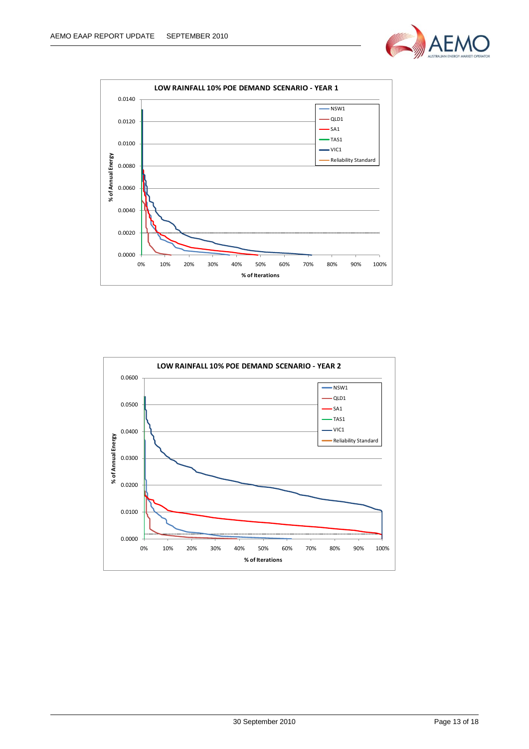



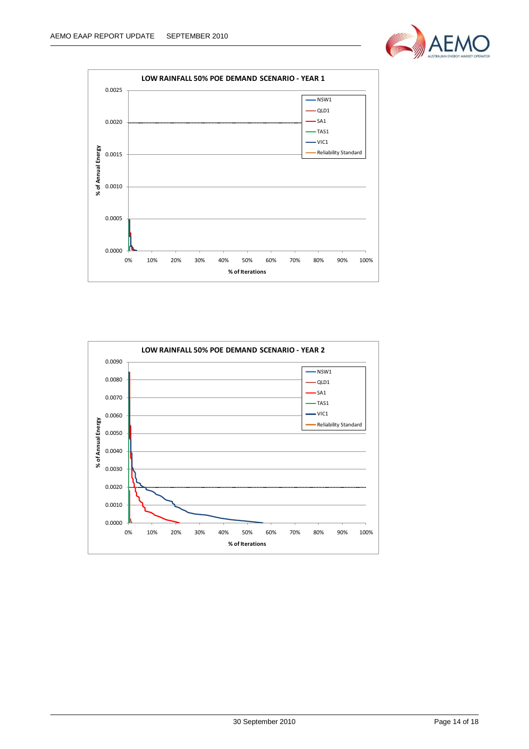



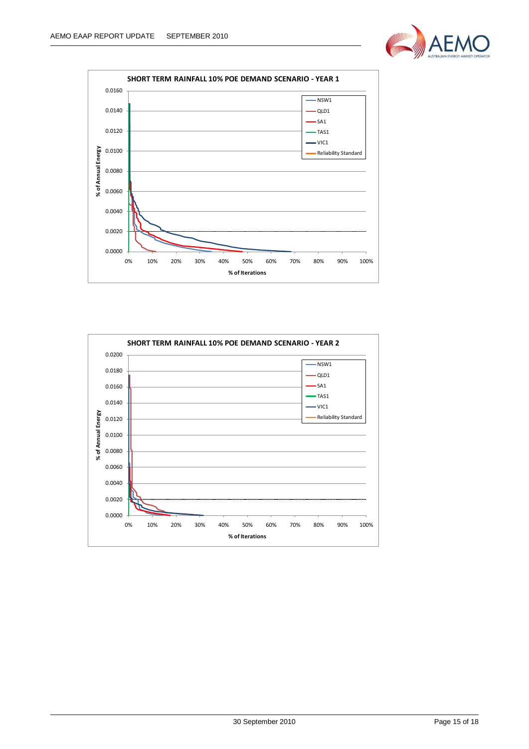



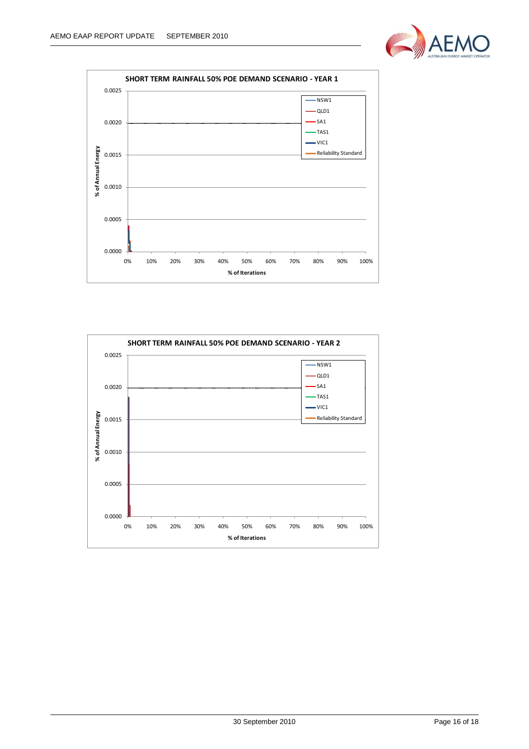



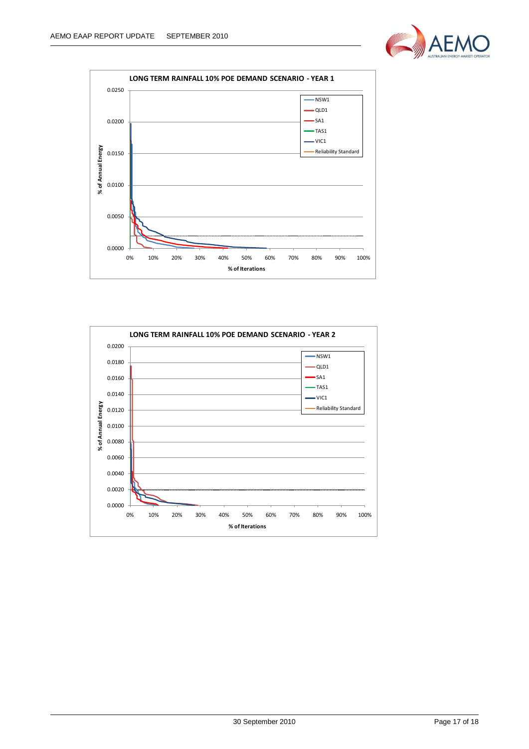